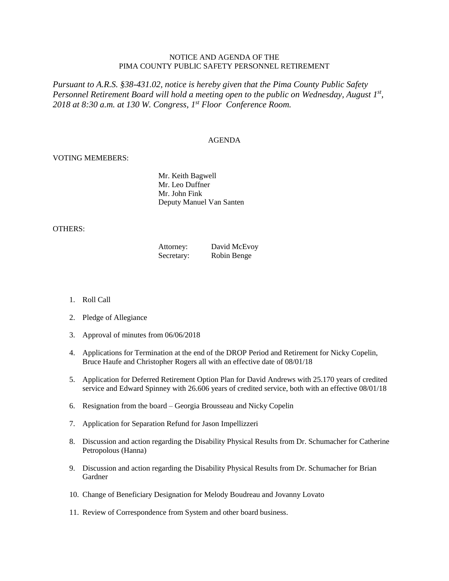# NOTICE AND AGENDA OF THE PIMA COUNTY PUBLIC SAFETY PERSONNEL RETIREMENT

*Pursuant to A.R.S. §38-431.02, notice is hereby given that the Pima County Public Safety Personnel Retirement Board will hold a meeting open to the public on Wednesday, August 1st , 2018 at 8:30 a.m. at 130 W. Congress, 1 st Floor Conference Room.*

### AGENDA

### VOTING MEMEBERS:

Mr. Keith Bagwell Mr. Leo Duffner Mr. John Fink Deputy Manuel Van Santen

#### OTHERS:

| Attorney:  | David McEvoy |
|------------|--------------|
| Secretary: | Robin Benge  |

- 1. Roll Call
- 2. Pledge of Allegiance
- 3. Approval of minutes from 06/06/2018
- 4. Applications for Termination at the end of the DROP Period and Retirement for Nicky Copelin, Bruce Haufe and Christopher Rogers all with an effective date of 08/01/18
- 5. Application for Deferred Retirement Option Plan for David Andrews with 25.170 years of credited service and Edward Spinney with 26.606 years of credited service, both with an effective 08/01/18
- 6. Resignation from the board Georgia Brousseau and Nicky Copelin
- 7. Application for Separation Refund for Jason Impellizzeri
- 8. Discussion and action regarding the Disability Physical Results from Dr. Schumacher for Catherine Petropolous (Hanna)
- 9. Discussion and action regarding the Disability Physical Results from Dr. Schumacher for Brian Gardner
- 10. Change of Beneficiary Designation for Melody Boudreau and Jovanny Lovato
- 11. Review of Correspondence from System and other board business.